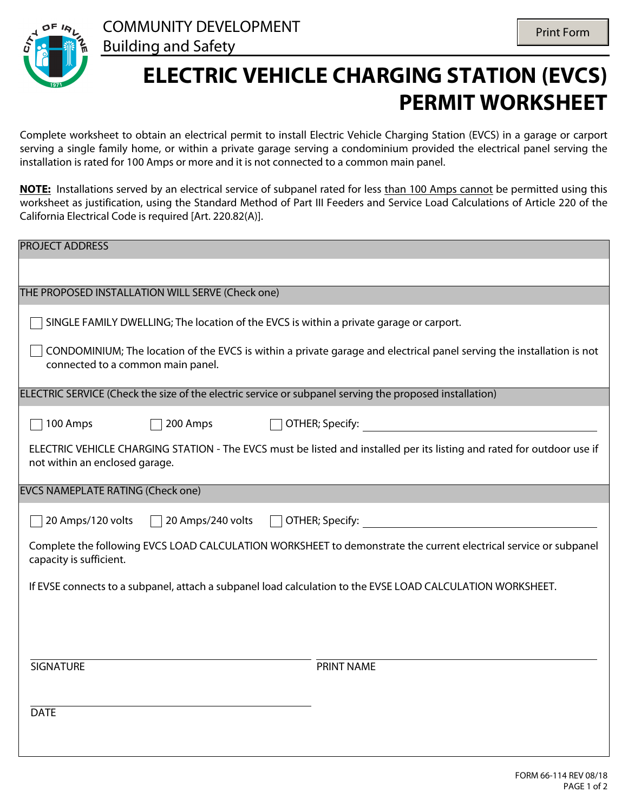

## **ELECTRIC VEHICLE CHARGING STATION (EVCS) PERMIT WORKSHEET**

Complete worksheet to obtain an electrical permit to install Electric Vehicle Charging Station (EVCS) in a garage or carport serving a single family home, or within a private garage serving a condominium provided the electrical panel serving the installation is rated for 100 Amps or more and it is not connected to a common main panel.

**NOTE:** Installations served by an electrical service of subpanel rated for less than 100 Amps cannot be permitted using this worksheet as justification, using the Standard Method of Part III Feeders and Service Load Calculations of Article 220 of the California Electrical Code is required [Art. 220.82(A)].

| <b>PROJECT ADDRESS</b>                                                                                                                                                                                                                                 |  |  |  |  |  |  |  |
|--------------------------------------------------------------------------------------------------------------------------------------------------------------------------------------------------------------------------------------------------------|--|--|--|--|--|--|--|
|                                                                                                                                                                                                                                                        |  |  |  |  |  |  |  |
| THE PROPOSED INSTALLATION WILL SERVE (Check one)                                                                                                                                                                                                       |  |  |  |  |  |  |  |
| SINGLE FAMILY DWELLING; The location of the EVCS is within a private garage or carport.                                                                                                                                                                |  |  |  |  |  |  |  |
| CONDOMINIUM; The location of the EVCS is within a private garage and electrical panel serving the installation is not<br>connected to a common main panel.                                                                                             |  |  |  |  |  |  |  |
| ELECTRIC SERVICE (Check the size of the electric service or subpanel serving the proposed installation)                                                                                                                                                |  |  |  |  |  |  |  |
| OTHER; Specify: The Contract of The Contract of The Contract of The Contract of The Contract of The Contract of The Contract of The Contract of The Contract of The Contract of The Contract of The Contract of The Contract o<br>100 Amps<br>200 Amps |  |  |  |  |  |  |  |
| ELECTRIC VEHICLE CHARGING STATION - The EVCS must be listed and installed per its listing and rated for outdoor use if<br>not within an enclosed garage.                                                                                               |  |  |  |  |  |  |  |
| <b>EVCS NAMEPLATE RATING (Check one)</b>                                                                                                                                                                                                               |  |  |  |  |  |  |  |
| 20 Amps/240 volts<br>20 Amps/120 volts<br>$\Box$ OTHER; Specify:                                                                                                                                                                                       |  |  |  |  |  |  |  |
| Complete the following EVCS LOAD CALCULATION WORKSHEET to demonstrate the current electrical service or subpanel<br>capacity is sufficient.                                                                                                            |  |  |  |  |  |  |  |
| If EVSE connects to a subpanel, attach a subpanel load calculation to the EVSE LOAD CALCULATION WORKSHEET.                                                                                                                                             |  |  |  |  |  |  |  |
|                                                                                                                                                                                                                                                        |  |  |  |  |  |  |  |
|                                                                                                                                                                                                                                                        |  |  |  |  |  |  |  |
| <b>SIGNATURE</b><br><b>PRINT NAME</b>                                                                                                                                                                                                                  |  |  |  |  |  |  |  |
| <b>DATE</b>                                                                                                                                                                                                                                            |  |  |  |  |  |  |  |